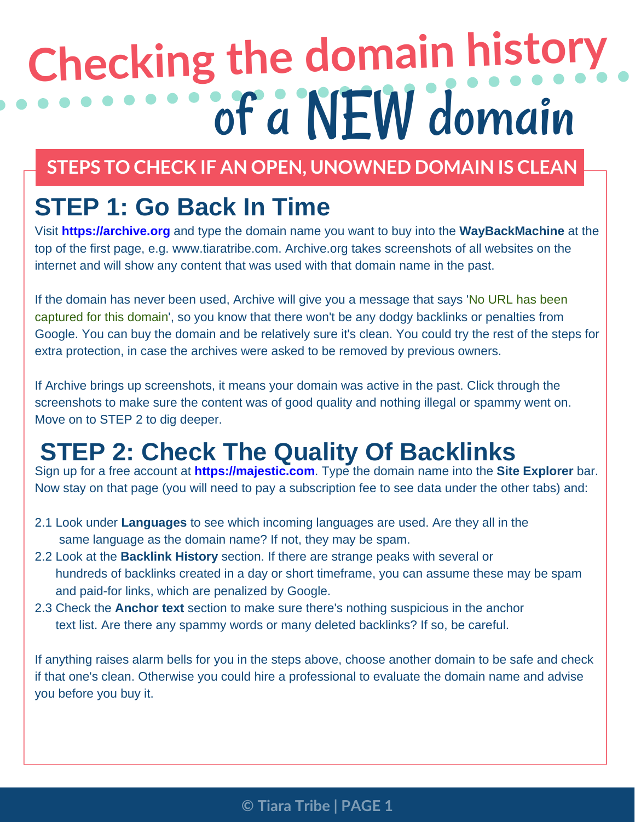# **Checking the domain history** of a NEW domain

#### **STEPS TO CHECK IF AN OPEN, UNOWNED DOMAIN IS CLEAN**

#### **STEP 1: Go Back In Time**

Visit **https://archive.org** and type the domain name you want to buy into the **WayBackMachine** at the top of the first page, e.g. [www.tiaratribe.com.](https://www.tiaratribe.com) Archive.org takes screenshots of all websites on the internet and will show any content that was used with that domain name in the past.

If the domain has never been used, Archive will give you a message that says 'No URL has been captured for this domain', so you know that there won't be any dodgy backlinks or penalties from Google. You can buy the domain and be relatively sure it's clean. You could try the rest of the steps for extra protection, in case the archives were asked to be removed by previous owners.

If Archive brings up screenshots, it means your domain was active in the past. Click through the screenshots to make sure the content was of good quality and nothing illegal or spammy went on. Move on to STEP 2 to dig deeper.

### **STEP 2: Check The Quality Of Backlinks**

Sign up for a free account at **https://majestic.com**. Type the domain name into the **Site Explorer** bar. Now stay on that page (you will need to pay a subscription fee to see data under the other tabs) and:

- 2.1 Look under **Languages** to see which incoming languages are used. Are they all in the same language as the domain name? If not, they may be spam.
- 2.2 Look at the **Backlink History** section. If there are strange peaks with several or hundreds of backlinks created in a day or short timeframe, you can assume these may be spam and paid-for links, which are penalized by Google.
- 2.3 Check the **Anchor text** section to make sure there's nothing suspicious in the anchor text list. Are there any spammy words or many deleted backlinks? If so, be careful.

If anything raises alarm bells for you in the steps above, choose another domain to be safe and check if that one's clean. Otherwise you could hire a professional to evaluate the domain name and advise you before you buy it.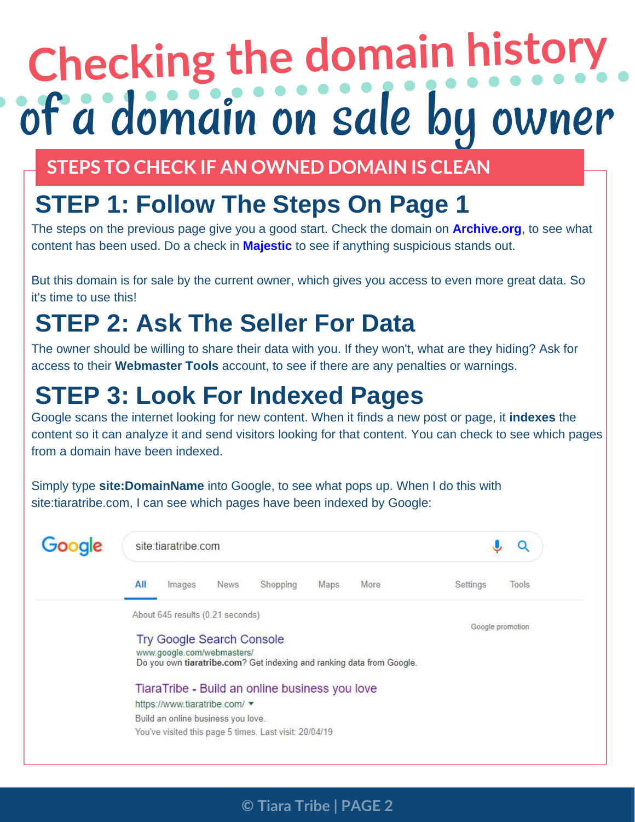# **Checking the domain history** of a domain on sale by owner

**STEPS TO CHECK IF AN OWNED DOMAIN IS CLEAN**

### **STEP 1: Follow The Steps On Page 1**

The steps on the previous page give you a good start. Check the domain on **[Archive.org](https://archive.org)**, to see what content has been used. Do a check in **[Majestic](https://majestic.com)** to see if anything suspicious stands out.

But this domain is for sale by the current owner, which gives you access to even more great data. So it's time to use this!

## **STEP 2: Ask The Seller For Data**

The owner should be willing to share their data with you. If they won't, what are they hiding? Ask for access to their **Webmaster Tools** account, to see if there are any penalties or warnings.

### **STEP 3: Look For Indexed Pages**

Google scans the internet looking for new content. When it finds a new post or page, it **indexes** the content so it can analyze it and send visitors looking for that content. You can check to see which pages from a domain have been indexed.

Simply type **site:DomainName** into Google, to see what pops up. When I do this with site:tiaratribe.com, I can see which pages have been indexed by Google:



**© Tiara Tribe | PAGE 2**